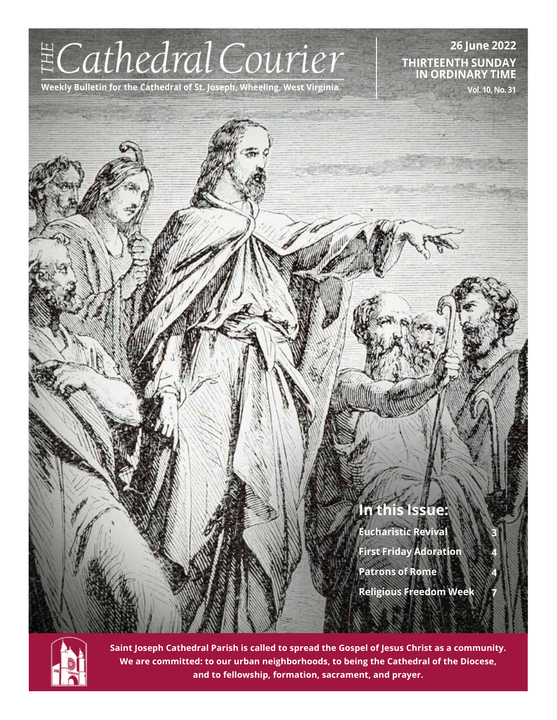# $ECathedral Courier$

**Weekly Bulletin for the Cathedral of St. Joseph, Wheeling, West Virginia**

**26 June 2022 THIRTEENTH SUNDAY IN ORDINARY TIME**

**Vol. 10, No. 31**

# **In this Issue:**

**Eucharistic Revival First Friday Adoration Patrons of Rome Religious Freedom Week**

**3**

**4**

**4**

**7**



**Saint Joseph Cathedral Parish is called to spread the Gospel of Jesus Christ as a community. We are committed: to our urban neighborhoods, to being the Cathedral of the Diocese, and to fellowship, formation, sacrament, and prayer.**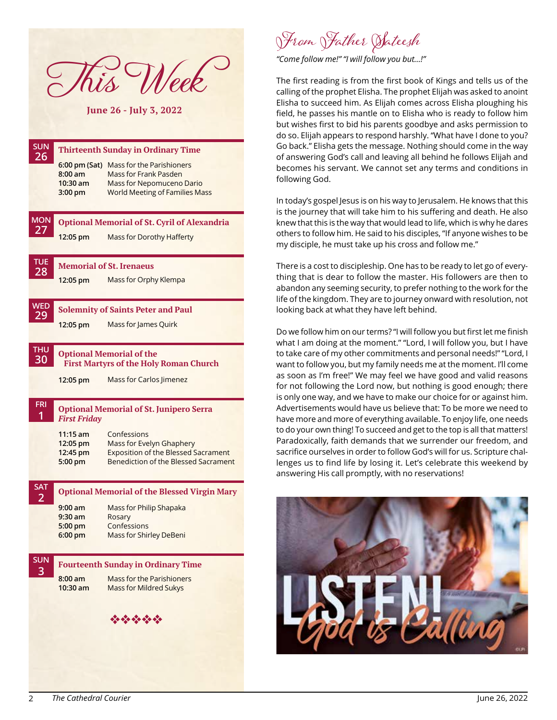This Week

**June 26 - July 3, 2022**

| <b>SUN</b>                   |                                                                      |                                                                                                                                                                                 |
|------------------------------|----------------------------------------------------------------------|---------------------------------------------------------------------------------------------------------------------------------------------------------------------------------|
| 26                           | 6:00 pm (Sat)<br>$8:00$ am<br>$10:30$ am<br>$3:00$ pm                | <b>Thirteenth Sunday in Ordinary Time</b><br>Mass for the Parishioners<br>Mass for Frank Pasden<br><b>Mass for Nepomuceno Dario</b><br><b>World Meeting of Families Mass</b>    |
| <b>MON</b><br>27             | 12:05 pm                                                             | <b>Optional Memorial of St. Cyril of Alexandria</b><br>Mass for Dorothy Hafferty                                                                                                |
| <b>TUE</b><br>28             | 12:05 pm                                                             | <b>Memorial of St. Irenaeus</b><br>Mass for Orphy Klempa                                                                                                                        |
| <b>WED</b><br>29             | 12:05 pm                                                             | <b>Solemnity of Saints Peter and Paul</b><br>Mass for James Quirk                                                                                                               |
| <b>THU</b><br>30             | 12:05 pm                                                             | <b>Optional Memorial of the</b><br><b>First Martyrs of the Holy Roman Church</b><br>Mass for Carlos Jimenez                                                                     |
| FRI<br>1                     | <b>First Friday</b><br>$11:15$ am<br>12:05 pm<br>12:45 pm<br>5:00 pm | <b>Optional Memorial of St. Junipero Serra</b><br>Confessions<br>Mass for Evelyn Ghaphery<br><b>Exposition of the Blessed Sacrament</b><br>Benediction of the Blessed Sacrament |
| <b>SAT</b><br>$\overline{2}$ | $9:00$ am<br>$9:30$ am<br>$5:00 \text{ pm}$<br>$6:00 \text{ pm}$     | <b>Optional Memorial of the Blessed Virgin Mary</b><br>Mass for Philip Shapaka<br>Rosary<br>Confessions<br><b>Mass for Shirley DeBeni</b>                                       |
| <b>SUN</b><br>3              | $8:00$ am<br>$10:30$ am                                              | <b>Fourteenth Sunday in Ordinary Time</b><br>Mass for the Parishioners<br><b>Mass for Mildred Sukys</b><br>经合金合金                                                                |
|                              |                                                                      |                                                                                                                                                                                 |

From Father Sateesh

*"Come follow me!" "I will follow you but…!"*

The first reading is from the first book of Kings and tells us of the calling of the prophet Elisha. The prophet Elijah was asked to anoint Elisha to succeed him. As Elijah comes across Elisha ploughing his field, he passes his mantle on to Elisha who is ready to follow him but wishes first to bid his parents goodbye and asks permission to do so. Elijah appears to respond harshly. "What have I done to you? Go back." Elisha gets the message. Nothing should come in the way of answering God's call and leaving all behind he follows Elijah and becomes his servant. We cannot set any terms and conditions in following God.

In today's gospel Jesus is on his way to Jerusalem. He knows that this is the journey that will take him to his suffering and death. He also knew that this is the way that would lead to life, which is why he dares others to follow him. He said to his disciples, "If anyone wishes to be my disciple, he must take up his cross and follow me."

There is a cost to discipleship. One has to be ready to let go of everything that is dear to follow the master. His followers are then to abandon any seeming security, to prefer nothing to the work for the life of the kingdom. They are to journey onward with resolution, not looking back at what they have left behind.

Do we follow him on our terms? "I will follow you but first let me finish what I am doing at the moment." "Lord, I will follow you, but I have to take care of my other commitments and personal needs!" "Lord, I want to follow you, but my family needs me at the moment. I'll come as soon as I'm free!" We may feel we have good and valid reasons for not following the Lord now, but nothing is good enough; there is only one way, and we have to make our choice for or against him. Advertisements would have us believe that: To be more we need to have more and more of everything available. To enjoy life, one needs to do your own thing! To succeed and get to the top is all that matters! Paradoxically, faith demands that we surrender our freedom, and sacrifice ourselves in order to follow God's will for us. Scripture challenges us to find life by losing it. Let's celebrate this weekend by answering His call promptly, with no reservations!

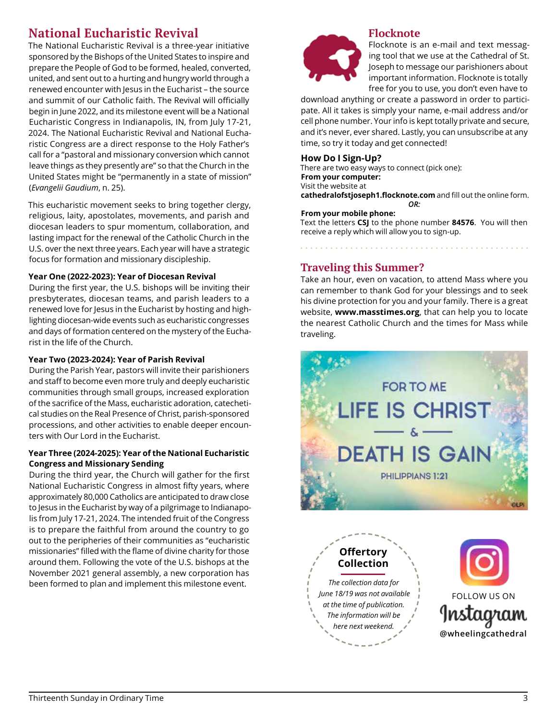### **National Eucharistic Revival**

The National Eucharistic Revival is a three-year initiative sponsored by the Bishops of the United States to inspire and prepare the People of God to be formed, healed, converted, united, and sent out to a hurting and hungry world through a renewed encounter with Jesus in the Eucharist – the source and summit of our Catholic faith. The Revival will officially begin in June 2022, and its milestone event will be a National Eucharistic Congress in Indianapolis, IN, from July 17-21, 2024. The National Eucharistic Revival and National Eucharistic Congress are a direct response to the Holy Father's call for a "pastoral and missionary conversion which cannot leave things as they presently are" so that the Church in the United States might be "permanently in a state of mission" (*Evangelii Gaudium*, n. 25).

This eucharistic movement seeks to bring together clergy, religious, laity, apostolates, movements, and parish and diocesan leaders to spur momentum, collaboration, and lasting impact for the renewal of the Catholic Church in the U.S. over the next three years. Each year will have a strategic focus for formation and missionary discipleship.

#### **Year One (2022-2023): Year of Diocesan Revival**

During the first year, the U.S. bishops will be inviting their presbyterates, diocesan teams, and parish leaders to a renewed love for Jesus in the Eucharist by hosting and highlighting diocesan-wide events such as eucharistic congresses and days of formation centered on the mystery of the Eucharist in the life of the Church.

#### **Year Two (2023-2024): Year of Parish Revival**

During the Parish Year, pastors will invite their parishioners and staff to become even more truly and deeply eucharistic communities through small groups, increased exploration of the sacrifice of the Mass, eucharistic adoration, catechetical studies on the Real Presence of Christ, parish-sponsored processions, and other activities to enable deeper encounters with Our Lord in the Eucharist.

#### **Year Three (2024-2025): Year of the National Eucharistic Congress and Missionary Sending**

During the third year, the Church will gather for the first National Eucharistic Congress in almost fifty years, where approximately 80,000 Catholics are anticipated to draw close to Jesus in the Eucharist by way of a pilgrimage to Indianapolis from July 17-21, 2024. The intended fruit of the Congress is to prepare the faithful from around the country to go out to the peripheries of their communities as "eucharistic missionaries" filled with the flame of divine charity for those around them. Following the vote of the U.S. bishops at the November 2021 general assembly, a new corporation has been formed to plan and implement this milestone event.



**Flocknote** Flocknote is an e-mail and text messaging tool that we use at the Cathedral of St. Joseph to message our parishioners about important information. Flocknote is totally free for you to use, you don't even have to

download anything or create a password in order to participate. All it takes is simply your name, e-mail address and/or cell phone number. Your info is kept totally private and secure, and it's never, ever shared. Lastly, you can unsubscribe at any time, so try it today and get connected!

#### **How Do I Sign-Up?**

There are two easy ways to connect (pick one): **From your computer:** Visit the website at **cathedralofstjoseph1.flocknote.com** and fill out the online form. *OR:*

#### **From your mobile phone:**

Text the letters **CSJ** to the phone number **84576**. You will then receive a reply which will allow you to sign-up.

#### **Traveling this Summer?**

Take an hour, even on vacation, to attend Mass where you can remember to thank God for your blessings and to seek his divine protection for you and your family. There is a great website, **www.masstimes.org**, that can help you to locate the nearest Catholic Church and the times for Mass while traveling.



**Collection** *The collection data for June 18/19 was not available at the time of publication. The information will be here next weekend.*

**Offertory**

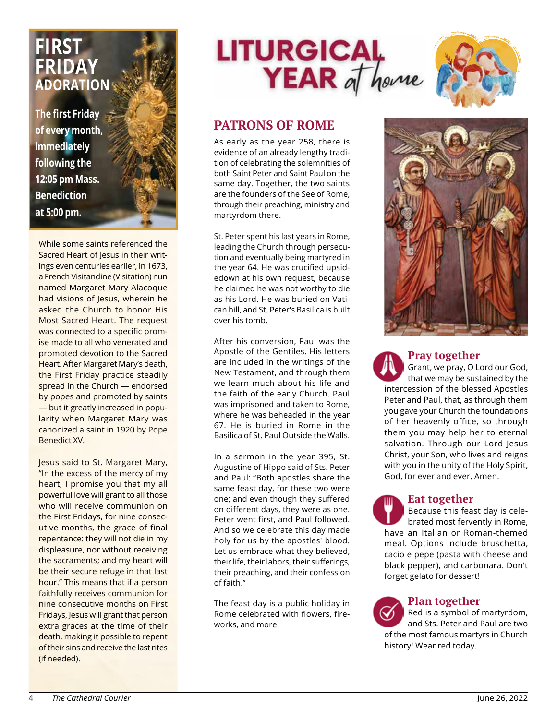# **FIRST FRIDAY ADORATION**

**The first Friday of every month, immediately following the 12:05 pm Mass. Benediction at 5:00 pm.**

While some saints referenced the Sacred Heart of Jesus in their writings even centuries earlier, in 1673, a French Visitandine (Visitation) nun named Margaret Mary Alacoque had visions of Jesus, wherein he asked the Church to honor His Most Sacred Heart. The request was connected to a specific promise made to all who venerated and promoted devotion to the Sacred Heart. After Margaret Mary's death, the First Friday practice steadily spread in the Church — endorsed by popes and promoted by saints — but it greatly increased in popularity when Margaret Mary was canonized a saint in 1920 by Pope Benedict XV.

Jesus said to St. Margaret Mary, "In the excess of the mercy of my heart, I promise you that my all powerful love will grant to all those who will receive communion on the First Fridays, for nine consecutive months, the grace of final repentance: they will not die in my displeasure, nor without receiving the sacraments; and my heart will be their secure refuge in that last hour." This means that if a person faithfully receives communion for nine consecutive months on First Fridays, Jesus will grant that person extra graces at the time of their death, making it possible to repent of their sins and receive the last rites (if needed).





#### **PATRONS OF ROME**

As early as the year 258, there is evidence of an already lengthy tradition of celebrating the solemnities of both Saint Peter and Saint Paul on the same day. Together, the two saints are the founders of the See of Rome, through their preaching, ministry and martyrdom there.

St. Peter spent his last years in Rome, leading the Church through persecution and eventually being martyred in the year 64. He was crucified upsidedown at his own request, because he claimed he was not worthy to die as his Lord. He was buried on Vatican hill, and St. Peter's Basilica is built over his tomb.

After his conversion, Paul was the Apostle of the Gentiles. His letters are included in the writings of the New Testament, and through them we learn much about his life and the faith of the early Church. Paul was imprisoned and taken to Rome, where he was beheaded in the year 67. He is buried in Rome in the Basilica of St. Paul Outside the Walls.

In a sermon in the year 395, St. Augustine of Hippo said of Sts. Peter and Paul: "Both apostles share the same feast day, for these two were one; and even though they suffered on different days, they were as one. Peter went first, and Paul followed. And so we celebrate this day made holy for us by the apostles' blood. Let us embrace what they believed, their life, their labors, their sufferings, their preaching, and their confession of faith."

The feast day is a public holiday in Rome celebrated with flowers, fireworks, and more.



#### **Pray together**

Grant, we pray, O Lord our God, that we may be sustained by the intercession of the blessed Apostles Peter and Paul, that, as through them you gave your Church the foundations of her heavenly office, so through them you may help her to eternal salvation. Through our Lord Jesus Christ, your Son, who lives and reigns with you in the unity of the Holy Spirit, God, for ever and ever. Amen.

#### **Eat together**

Because this feast day is celebrated most fervently in Rome, have an Italian or Roman-themed meal. Options include bruschetta, cacio e pepe (pasta with cheese and black pepper), and carbonara. Don't forget gelato for dessert!

#### **Plan together**

Red is a symbol of martyrdom, and Sts. Peter and Paul are two of the most famous martyrs in Church history! Wear red today.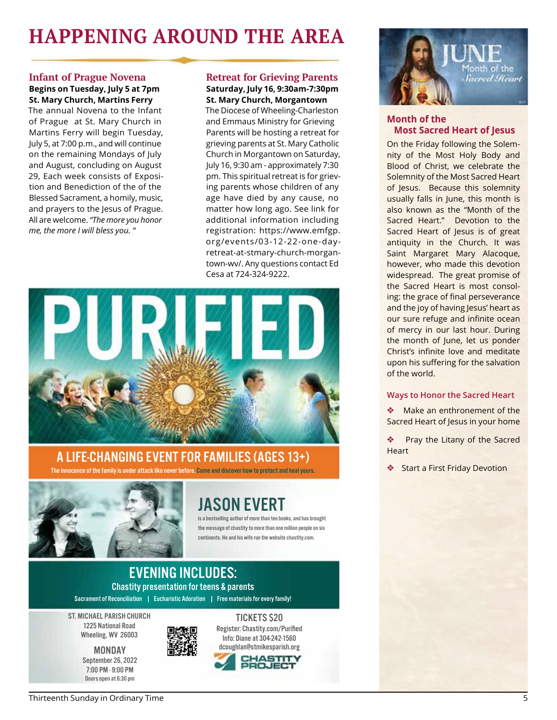# **HAPPENING AROUND THE AREA**

#### **Infant of Prague Novena**

#### **Begins on Tuesday, July 5 at 7pm St. Mary Church, Martins Ferry**

The annual Novena to the Infant of Prague at St. Mary Church in Martins Ferry will begin Tuesday, July 5, at 7:00 p.m., and will continue on the remaining Mondays of July and August, concluding on August 29, Each week consists of Exposition and Benediction of the of the Blessed Sacrament, a homily, music, and prayers to the Jesus of Prague. All are welcome. *"The more you honor me, the more I will bless you. "*

#### **Retreat for Grieving Parents Saturday, July 16, 9:30am-7:30pm St. Mary Church, Morgantown**

The Diocese of Wheeling-Charleston and Emmaus Ministry for Grieving Parents will be hosting a retreat for grieving parents at St. Mary Catholic Church in Morgantown on Saturday, July 16, 9:30 am - approximately 7:30 pm. This spiritual retreat is for grieving parents whose children of any age have died by any cause, no matter how long ago. See link for additional information including registration: https://www.emfgp. org/events/03-12-22-one-dayretreat-at-stmary-church-morgantown-wv/. Any questions contact Ed Cesa at 724-324-9222.



### A LIFE-CHANGING EVENT FOR FAMILIES (AGES 13+)

The innocence of the family is under attack like never before. Come and discover how to protect and heal yours.



# JASON EVERT

is a bestselling author of more than ten books, and has brought the message of chastity to more than one million people on six continents. He and his wife run the website chastity.com.

#### EVENING INCLUDES: Chastity presentation for teens & parents Sacrament of Reconciliation | Eucharistic Adoration | Free materials for every family!

ST. MICHAEL PARISH CHURCH 1225 National Road Wheeling, WV 26003

> MONDAY September 26, 2022 7:00 PM - 9:00 PM Doors open at 6:30 pm



TICKETS \$20 Register: Chastity.com/Purified Info: Diane at 304-242-1560 dcoughlan@stmikesparish.org





#### **Month of the Most Sacred Heart of Jesus**

On the Friday following the Solemnity of the Most Holy Body and Blood of Christ, we celebrate the Solemnity of the Most Sacred Heart of Jesus. Because this solemnity usually falls in June, this month is also known as the "Month of the Sacred Heart." Devotion to the Sacred Heart of Jesus is of great antiquity in the Church. It was Saint Margaret Mary Alacoque, however, who made this devotion widespread. The great promise of the Sacred Heart is most consoling: the grace of final perseverance and the joy of having Jesus' heart as our sure refuge and infinite ocean of mercy in our last hour. During the month of June, let us ponder Christ's infinite love and meditate upon his suffering for the salvation of the world.

#### **Ways to Honor the Sacred Heart**

Make an enthronement of the Sacred Heart of Jesus in your home

Pray the Litany of the Sacred **Heart** 

Start a First Friday Devotion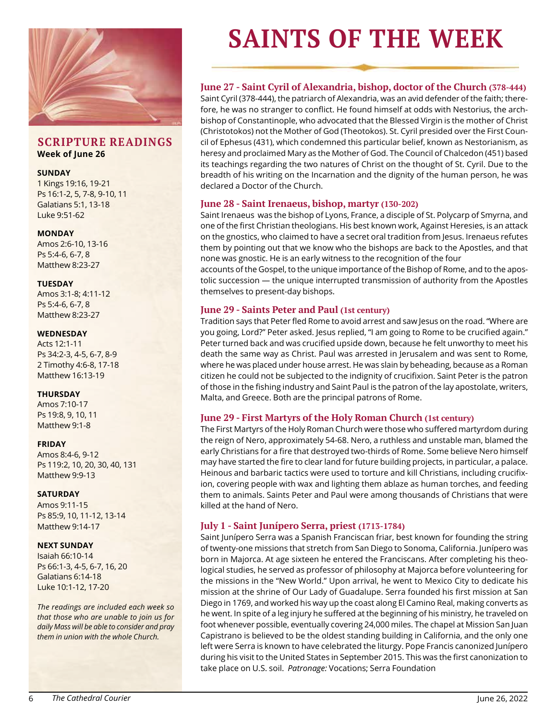

#### **SCRIPTURE READINGS Week of June 26**

#### **SUNDAY**

1 Kings 19:16, 19-21 Ps 16:1-2, 5, 7-8, 9-10, 11 Galatians 5:1, 13-18 Luke 9:51-62

#### **MONDAY**

Amos 2:6-10, 13-16 Ps 5:4-6, 6-7, 8 Matthew 8:23-27

#### **TUESDAY**

Amos 3:1-8; 4:11-12 Ps 5:4-6, 6-7, 8 Matthew 8:23-27

#### **WEDNESDAY**

Acts 12:1-11 Ps 34:2-3, 4-5, 6-7, 8-9 2 Timothy 4:6-8, 17-18 Matthew 16:13-19

#### **THURSDAY**

Amos 7:10-17 Ps 19:8, 9, 10, 11 Matthew 9:1-8

#### **FRIDAY**

Amos 8:4-6, 9-12 Ps 119:2, 10, 20, 30, 40, 131 Matthew 9:9-13

#### **SATURDAY**

Amos 9:11-15 Ps 85:9, 10, 11-12, 13-14 Matthew 9:14-17

#### **NEXT SUNDAY**

Isaiah 66:10-14 Ps 66:1-3, 4-5, 6-7, 16, 20 Galatians 6:14-18 Luke 10:1-12, 17-20

*The readings are included each week so that those who are unable to join us for daily Mass will be able to consider and pray them in union with the whole Church.*

# **SAINTS OF THE WEEK**

#### **June 27 - Saint Cyril of Alexandria, bishop, doctor of the Church (378-444)**

Saint Cyril (378-444), the patriarch of Alexandria, was an avid defender of the faith; therefore, he was no stranger to conflict. He found himself at odds with Nestorius, the archbishop of Constantinople, who advocated that the Blessed Virgin is the mother of Christ (Christotokos) not the Mother of God (Theotokos). St. Cyril presided over the First Council of Ephesus (431), which condemned this particular belief, known as Nestorianism, as heresy and proclaimed Mary as the Mother of God. The Council of Chalcedon (451) based its teachings regarding the two natures of Christ on the thought of St. Cyril. Due to the breadth of his writing on the Incarnation and the dignity of the human person, he was declared a Doctor of the Church.

#### **June 28 - Saint Irenaeus, bishop, martyr (130-202)**

Saint Irenaeus was the bishop of Lyons, France, a disciple of St. Polycarp of Smyrna, and one of the first Christian theologians. His best known work, Against Heresies, is an attack on the gnostics, who claimed to have a secret oral tradition from Jesus. Irenaeus refutes them by pointing out that we know who the bishops are back to the Apostles, and that none was gnostic. He is an early witness to the recognition of the four

accounts of the Gospel, to the unique importance of the Bishop of Rome, and to the apostolic succession — the unique interrupted transmission of authority from the Apostles themselves to present-day bishops.

#### **June 29 - Saints Peter and Paul (1st century)**

Tradition says that Peter fled Rome to avoid arrest and saw Jesus on the road. "Where are you going, Lord?" Peter asked. Jesus replied, "I am going to Rome to be crucified again." Peter turned back and was crucified upside down, because he felt unworthy to meet his death the same way as Christ. Paul was arrested in Jerusalem and was sent to Rome, where he was placed under house arrest. He was slain by beheading, because as a Roman citizen he could not be subjected to the indignity of crucifixion. Saint Peter is the patron of those in the fishing industry and Saint Paul is the patron of the lay apostolate, writers, Malta, and Greece. Both are the principal patrons of Rome.

#### **June 29 - First Martyrs of the Holy Roman Church (1st century)**

The First Martyrs of the Holy Roman Church were those who suffered martyrdom during the reign of Nero, approximately 54-68. Nero, a ruthless and unstable man, blamed the early Christians for a fire that destroyed two-thirds of Rome. Some believe Nero himself may have started the fire to clear land for future building projects, in particular, a palace. Heinous and barbaric tactics were used to torture and kill Christians, including crucifixion, covering people with wax and lighting them ablaze as human torches, and feeding them to animals. Saints Peter and Paul were among thousands of Christians that were killed at the hand of Nero.

#### **July 1 - Saint Junípero Serra, priest (1713-1784)**

Saint Junípero Serra was a Spanish Franciscan friar, best known for founding the string of twenty-one missions that stretch from San Diego to Sonoma, California. Junípero was born in Majorca. At age sixteen he entered the Franciscans. After completing his theological studies, he served as professor of philosophy at Majorca before volunteering for the missions in the "New World." Upon arrival, he went to Mexico City to dedicate his mission at the shrine of Our Lady of Guadalupe. Serra founded his first mission at San Diego in 1769, and worked his way up the coast along El Camino Real, making converts as he went. In spite of a leg injury he suffered at the beginning of his ministry, he traveled on foot whenever possible, eventually covering 24,000 miles. The chapel at Mission San Juan Capistrano is believed to be the oldest standing building in California, and the only one left were Serra is known to have celebrated the liturgy. Pope Francis canonized Junípero during his visit to the United States in September 2015. This was the first canonization to take place on U.S. soil. *Patronage:* Vocations; Serra Foundation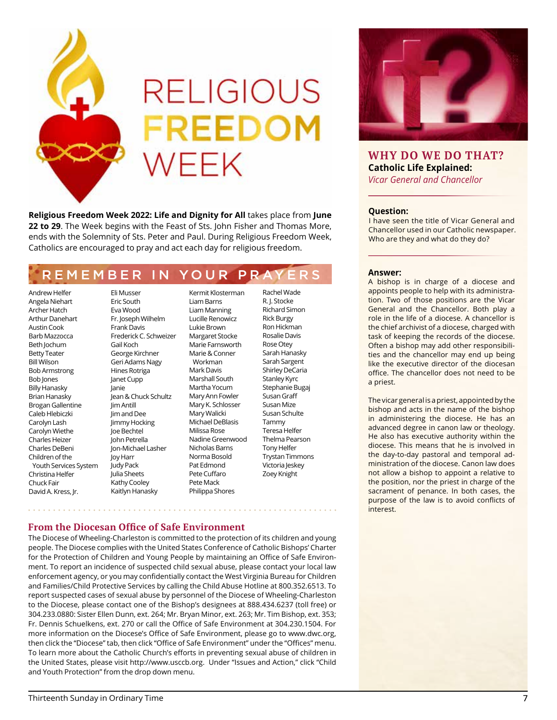

**Religious Freedom Week 2022: Life and Dignity for All** takes place from **June 22 to 29**. The Week begins with the Feast of Sts. John Fisher and Thomas More, ends with the Solemnity of Sts. Peter and Paul. During Religious Freedom Week, Catholics are encouraged to pray and act each day for religious freedom.

# REMEMBER IN YOUR PRAY

Andrew Helfer Angela Niehart Archer Hatch Arthur Danehart Austin Cook Barb Mazzocca Beth Jochum Betty Teater Bill Wilson Bob Armstrong Bob Jones Billy Hanasky Brian Hanasky Brogan Gallentine Caleb Hlebiczki Carolyn Lash Carolyn Wiethe Charles Heizer Charles DeBeni Children of the Youth Services System Christina Helfer Chuck Fair David A. Kress, Jr.

Eric South Eva Wood Fr. Joseph Wilhelm Frank Davis Frederick C. Schweizer Gail Koch George Kirchner Geri Adams Nagy Hines Rotriga Janet Cupp Janie Jean & Chuck Schultz Jim Antill Jim and Dee Jimmy Hocking Joe Bechtel John Petrella Jon-Michael Lasher Joy Harr Judy Pack Julia Sheets Kathy Cooley Kaitlyn Hanasky

Eli Musser

Kermit Klosterman Liam Barns Liam Manning Lucille Renowicz Lukie Brown Margaret Stocke Marie Farnsworth Marie & Conner Workman Mark Davis Marshall South Martha Yocum Mary Ann Fowler Mary K. Schlosser Mary Walicki Michael DeBlasis Milissa Rose Nadine Greenwood Nicholas Barns Norma Bosold Pat Edmond Pete Cuffaro Pete Mack Philippa Shores

Rachel Wade R. J. Stocke Richard Simon Rick Burgy Ron Hickman Rosalie Davis Rose Otey Sarah Hanasky Sarah Sargent Shirley DeCaria Stanley Kyrc Stephanie Bugaj Susan Graff Susan Mize Susan Schulte Tammy Teresa Helfer Thelma Pearson Tony Helfer Trystan Timmons Victoria Jeskey Zoey Knight

#### **From the Diocesan Office of Safe Environment**

The Diocese of Wheeling-Charleston is committed to the protection of its children and young people. The Diocese complies with the United States Conference of Catholic Bishops' Charter for the Protection of Children and Young People by maintaining an Office of Safe Environment. To report an incidence of suspected child sexual abuse, please contact your local law enforcement agency, or you may confidentially contact the West Virginia Bureau for Children and Families/Child Protective Services by calling the Child Abuse Hotline at 800.352.6513. To report suspected cases of sexual abuse by personnel of the Diocese of Wheeling-Charleston to the Diocese, please contact one of the Bishop's designees at 888.434.6237 (toll free) or 304.233.0880: Sister Ellen Dunn, ext. 264; Mr. Bryan Minor, ext. 263; Mr. Tim Bishop, ext. 353; Fr. Dennis Schuelkens, ext. 270 or call the Office of Safe Environment at 304.230.1504. For more information on the Diocese's Office of Safe Environment, please go to www.dwc.org, then click the "Diocese" tab, then click "Office of Safe Environment" under the "Offices" menu. To learn more about the Catholic Church's efforts in preventing sexual abuse of children in the United States, please visit http://www.usccb.org. Under "Issues and Action," click "Child and Youth Protection" from the drop down menu.



#### **WHY DO WE DO THAT? Catholic Life Explained:** *Vicar General and Chancellor*

#### **Question:**

I have seen the title of Vicar General and Chancellor used in our Catholic newspaper. Who are they and what do they do?

#### **Answer:**

A bishop is in charge of a diocese and appoints people to help with its administration. Two of those positions are the Vicar General and the Chancellor. Both play a role in the life of a diocese. A chancellor is the chief archivist of a diocese, charged with task of keeping the records of the diocese. Often a bishop may add other responsibilities and the chancellor may end up being like the executive director of the diocesan office. The chancellor does not need to be a priest.

The vicar general is a priest, appointed by the bishop and acts in the name of the bishop in administering the diocese. He has an advanced degree in canon law or theology. He also has executive authority within the diocese. This means that he is involved in the day-to-day pastoral and temporal administration of the diocese. Canon law does not allow a bishop to appoint a relative to the position, nor the priest in charge of the sacrament of penance. In both cases, the purpose of the law is to avoid conflicts of interest.